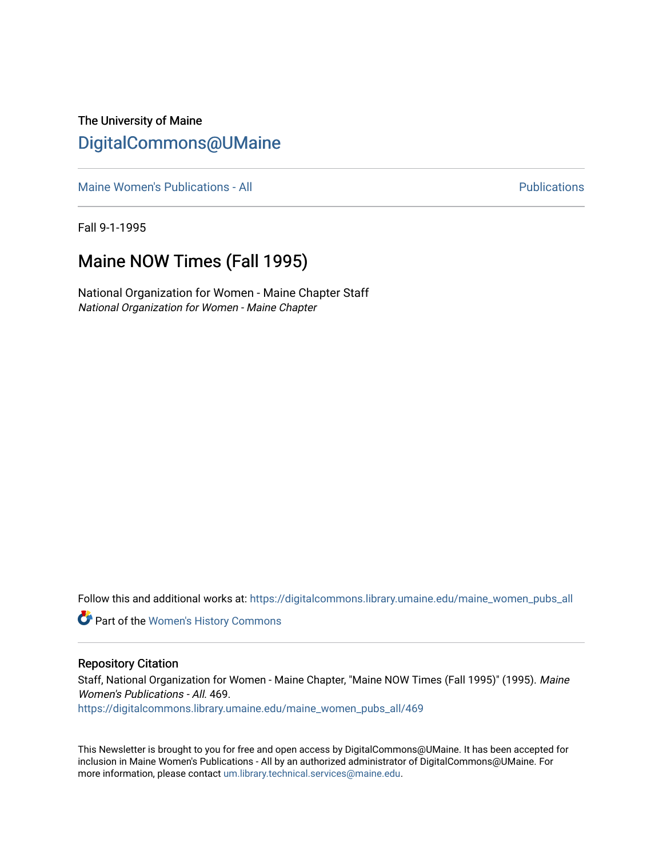The University of Maine [DigitalCommons@UMaine](https://digitalcommons.library.umaine.edu/)

[Maine Women's Publications - All](https://digitalcommons.library.umaine.edu/maine_women_pubs_all) **Publications** - All **Publications Publications** 

Fall 9-1-1995

#### Maine NOW Times (Fall 1995)

National Organization for Women - Maine Chapter Staff National Organization for Women - Maine Chapter

Follow this and additional works at: [https://digitalcommons.library.umaine.edu/maine\\_women\\_pubs\\_all](https://digitalcommons.library.umaine.edu/maine_women_pubs_all?utm_source=digitalcommons.library.umaine.edu%2Fmaine_women_pubs_all%2F469&utm_medium=PDF&utm_campaign=PDFCoverPages) 

Part of the [Women's History Commons](http://network.bepress.com/hgg/discipline/507?utm_source=digitalcommons.library.umaine.edu%2Fmaine_women_pubs_all%2F469&utm_medium=PDF&utm_campaign=PDFCoverPages)

#### Repository Citation

Staff, National Organization for Women - Maine Chapter, "Maine NOW Times (Fall 1995)" (1995). Maine Women's Publications - All. 469.

[https://digitalcommons.library.umaine.edu/maine\\_women\\_pubs\\_all/469](https://digitalcommons.library.umaine.edu/maine_women_pubs_all/469?utm_source=digitalcommons.library.umaine.edu%2Fmaine_women_pubs_all%2F469&utm_medium=PDF&utm_campaign=PDFCoverPages) 

This Newsletter is brought to you for free and open access by DigitalCommons@UMaine. It has been accepted for inclusion in Maine Women's Publications - All by an authorized administrator of DigitalCommons@UMaine. For more information, please contact [um.library.technical.services@maine.edu](mailto:um.library.technical.services@maine.edu).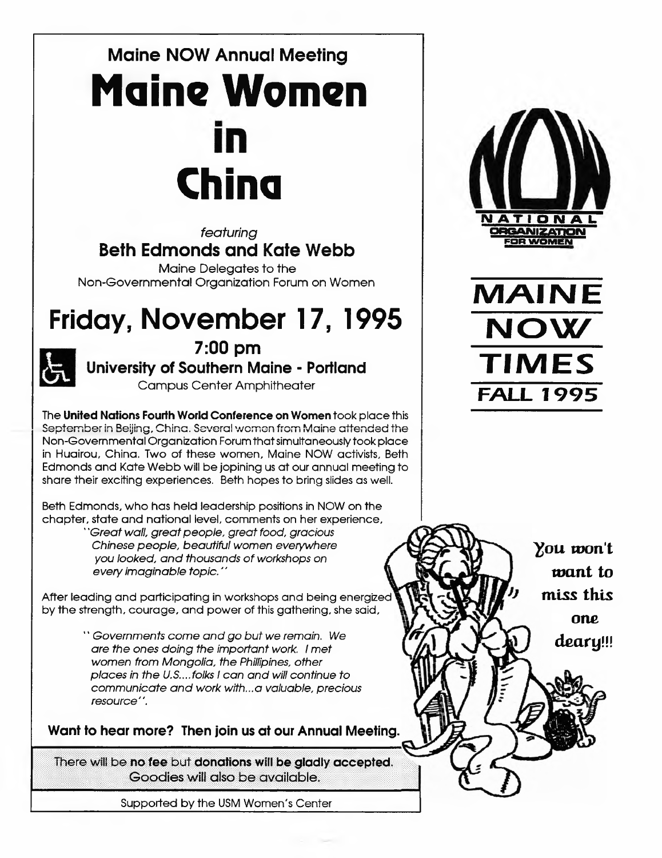# Maine NOW Annual Meeting **Maine Women** n **China**

*featuring* Beth Edmonds and Kate Webb

Maine Delegates to the Non-Governmental Organization Forum on Women

# Friday, November 17, 1995



7:00 pm University of Southern Maine - Portland

Campus Center Amphitheater

The **United Nations Fourth World Conference on Women** took place this September in Beijing, China. Several women from Maine attended the Non-Governmental Organization Forumthatsimultaneouslytook place in Huairou, China. Two of these women, Maine NOW activists, Beth Edmonds and Kate Webb will be jopining us at our annual meeting to share their exciting experiences. Beth hopes to bring slides as well.

Beth Edmonds, who has held leadership positions in NOW on the chapter, state and national level, comments on her experience,

*"Greatwall, greatpeople, great food, gracious Chinese people, beautiful women everywhere you looked, and thousands of workshops on every imaginable topic."*

After leading and participating in workshops and being energized by the strength, courage, and power of this gathering, she said,

> *\* \* Governments come and go but we remain.* We *are the ones doing the important work. <sup>I</sup> met women from Mongolia, the Phillipines, other places in the U.S....folks <sup>I</sup> can and will continue to communicate and work with...a valuable, precious resource".*

**Want to hear more? Then join us at our Annual Meeting.**

There will be **no fee** but **donations will be gladly accepted.** Goodies will also be available.

Supported by the USM Women's Center





*you* **won't want to miss this one** *deary!!!*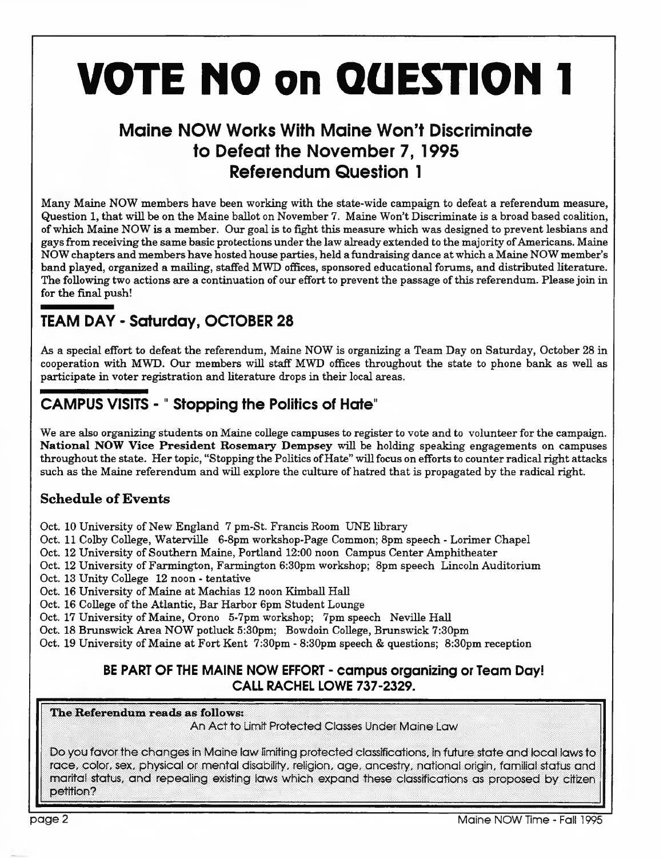# **VOTE NO on QUESTION <sup>1</sup>**

## Maine NOW Works With Maine Won't Discriminate to Defeat the November 7, 1995 Referendum Question <sup>1</sup>

Many Maine NOW members have been working with the state-wide campaign to defeat a referendum measure, Question 1, that will be on the Maine ballot on November 7. Maine Won't Discriminate is a broad based coalition, ofwhich Maine NOW is a member. Our goal is to fight this measure which was designed to prevent lesbians and gays from receiving the same basic protections under the law already extended to the majority of Americans. Maine NOW chapters and members have hosted house parties, held a fundraising dance at which a Maine NOW member's band played, organized a mailing, staffed MWD offices, sponsored educationalforums, and distributed literature. The following two actions are a continuation of our effort to prevent the passage of this referendum. Please join in for the final push!

## TEAM DAY - Saturday, OCTOBER 28

As a special effort to defeat the referendum, Maine NOW is organizing a Team Day on Saturday, October 28 in cooperation with MWD. Our members will staff MWD offices throughout the state to phone bank as well as participate in voter registration and literature drops in their local areas.

## CAMPUS VISITS -" Stopping the Politics of Hate"

We are also organizing students on Maine college campuses to register to vote and to volunteer for the campaign. **National NOW Vice President Rosemary Dempsey** will be holding speaking engagements on campuses throughout the state. Her topic, "Stopping the Politics of Hate" will focus on efforts to counter radical right attacks such as the Maine referendum and will explore the culture of hatred that is propagated by the radical right.

#### **Schedule of Events**

- Oct. 10 University of New England 7 pm-St. Francis Room UNE library
- Oct. 11 Colby College, Waterville 6-8pm workshop-Page Common; 8pm speech Lorimer Chapel
- Oct. 12 University of Southern Maine, Portland 12:00 noon Campus Center Amphitheater
- Oct. 12 University of Farmington, Farmington 6:30pm workshop; 8pm speech Lincoln Auditorium
- Oct. 13 Unity College 12 noon tentative
- Oct. 16 University of Maine at Machias 12 noon Kimball Hall
- Oct. 16 College of the Atlantic, Bar Harbor 6pm Student Lounge
- Oct. 17 University of Maine, Orono 5-7pm workshop; 7pm speech Neville Hall
- Oct. 18 Brunswick Area NOW potluck 5:30pm; Bowdoin College, Brunswick 7:30pm
- Oct. 19 University of Maine at Fort Kent 7:30pm 8:30pm speech & questions; 8:30pm reception

#### **BE PART OF THE MAINE NOW EFFORT - campus organizing or Team Day! CALL RACHEL LOWE 737-2329.**

**The Referendum reads as follows:**

An Act to Limit Protected Classes Under Maine Law

Do you favorthe changes in Maine law limiting protected classifications, in future state and local lawsto race, color, sex, physical or mental disability, religion, age, ancestry, national origin, familial status and marital status, and repealing existing laws which expand these classifications as proposed by citizen petition?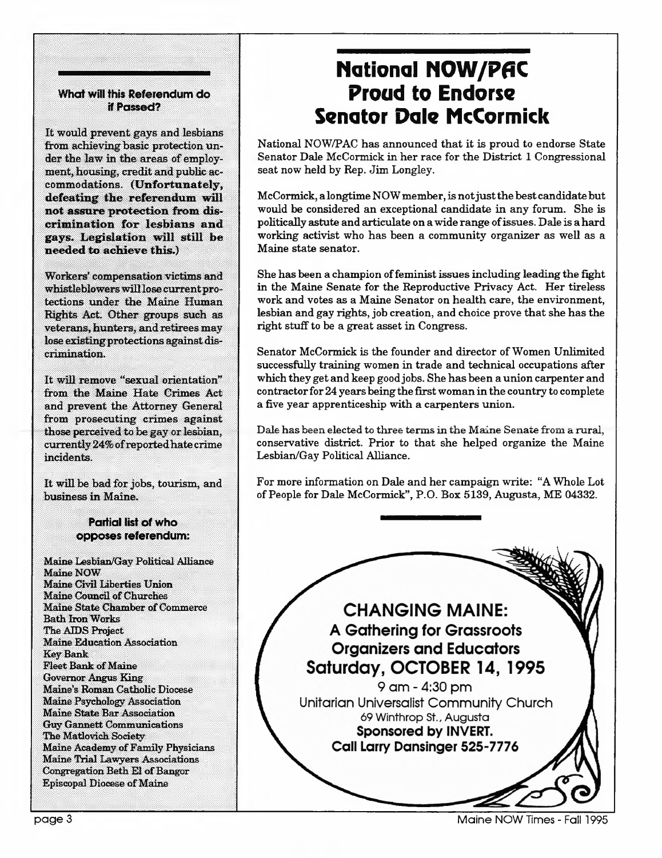#### **What will this Referendum do if Passed?**

It would prevent gays and lesbians from achieving basic protection under the law in the areas of employment, housing, credit and public accommodations. **(Unfortunately, defeating the referendum will not assure protection from discrimination for lesbians and gays. Legislation will still be needed to achieve this.)**

Workers' compensation victims and whistleblowers willlose currentprotections under the Maine Human Rights Act. Other groups such as veterans, hunters, and retirees may lose existing protections against discrimination.

It will remove ''sexual orientation" from the Maine Hate Crimes Act and prevent the Attorney General from prosecuting crimes against those perceived to be gay or lesbian, currently24%ofreportedhatecrime incidents.

It will be bad for jobs, tourism, and business in Maine.

#### **Partial list of who opposes referendum:**

Maine Lesbian/Gay Political Alliance Maine NOW Maine Civil Liberties Union Maine Council of Churches Maine State Chamber of Commerce Bath IronWorks The AIDS Project Maine Education Association Key Bank Fleet Bank of Maine Governor Angus King Maine's Roman Catholic Diocese Maine Psychology Association Maine State Bar Association Guy Gannett Communications The Matlovich Society Maine Academy of Family Physicians Maine Trial Lawyers Associations Congregation Beth El of Bangor Episcopal Diocese of Maine

## **National NOW/PflC Proud to Endorse Senator Dale McCormick**

National NOW/PAC has announced that it is proud to endorse State Senator Dale McCormick in her race for the District <sup>1</sup> Congressional seat now held by Rep. Jim Longley.

McCormick, a longtime NOWmember, is notjustthe bestcandidatebut would be considered an exceptional candidate in any forum. She is politically astute and articulate on awide range ofissues. Dale is ahard working activist who has been a community organizer as well as a Maine state senator.

She has been a champion of feminist issues including leading the fight in the Maine Senate for the Reproductive Privacy Act. Her tireless work and votes as a Maine Senator on health care, the environment, lesbian and gay rights, job creation, and choice prove that she has the right stuff to be a great asset in Congress.

Senator McCormick is the founder and director of Women Unlimited successfully training women in trade and technical occupations after which they get and keep good jobs. She has been a union carpenter and contractorfor 24 yearsbeing the firstwoman in the country to complete a five year apprenticeship with a carpenters union.

Dale has been elected to three termsin the Maine Senate from a rural, conservative district. Prior to that she helped organize the Maine Lesbian/Gay Political Alliance.

For more information on Dale and her campaign write: "A Whole Lot of People for Dale McCormick", P.O. Box 5139, Augusta, ME 04332.

**CHANGING MAINE: A Gathering for Grassroots Organizers and Educators** Saturday, OCTOBER 14, 1995 9 am - 4:30 pm Unitarian Universalist Community Church 69 Winthrop St., Augusta Sponsored by INVERT. **Call Larry Dansinger 525-7776** 

page <sup>3</sup> Maine NOW Times - Fall 1995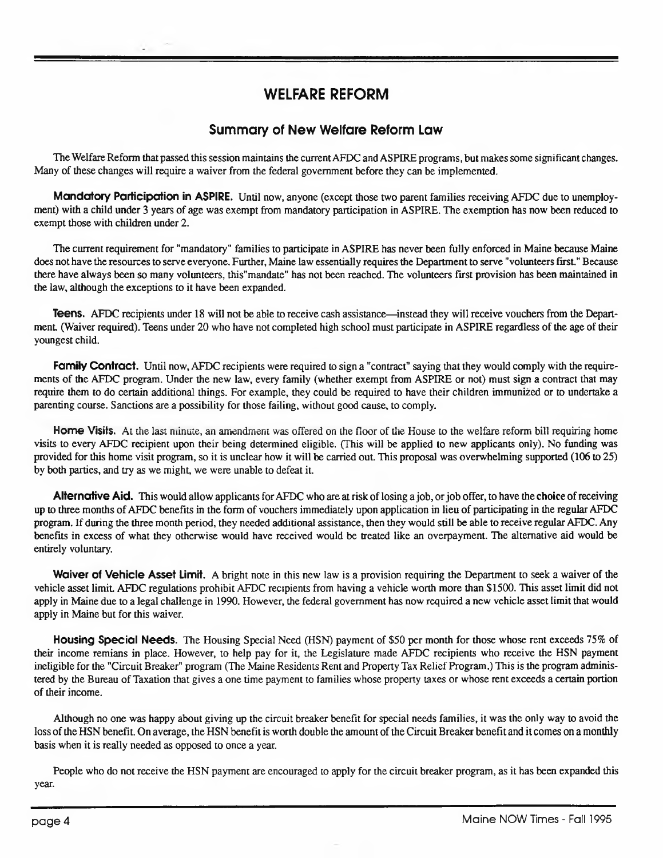#### WELFARE REFORM

#### **Summary of New Welfare Reform Law**

The Welfare Reform that passed this session maintains the current AFDC and ASPIRE programs, but makes some significant changes. Many of these changes will require a waiver from the federal government before they can be implemented.

**Mandatory Participation in ASPIRE.** Until now, anyone (except those two parent families receiving AFDC due to unemployment) with a child under 3 years of age was exempt from mandatory participation in ASPIRE. The exemption has now been reduced to exempt those with children under 2.

The current requirement for "mandatory" families to participate in ASPIRE has never been fully enforced in Maine because Maine does not have the resources to serve everyone. Further, Maine law essentially requires the Department to serve "volunteers first." Because there have always been so many volunteers, this"mandate" has not been reached. The volunteers first provision has been maintained in the law, although the exceptions to it have been expanded.

**Teens.** AFDC recipients under 18 will not be able to receive cash assistance—instead they will receive vouchers from the Department (Waiver required). Teens under 20 who have not completed high school must participate in ASPIRE regardless of the age of their youngest child.

**Family Contract.** Until now, AFDC recipients were required to sign a "contract" saying that they would comply with the requirements of the AFDC program. Under the new law, every family (whether exempt from ASPIRE or not) must sign a contract that may require them to do certain additional things. For example, they could be required to have their children immunized or to undertake a parenting course. Sanctions are a possibility for those failing, without good cause, to comply.

**Home Visits.** At the last minute, an amendment was offered on the floor of the House to the welfare reform bill requiring home visits to every AFDC recipient upon their being determined eligible. (This will be applied to new applicants only). No funding was provided for this home visit program, so it is unclear how it will be carried out. This proposal was overwhelming supported (106 to 25) by both parties, and try as we might, we were unable to defeat it.

**Alternative Aid.** This would allow applicants forAFDC who are at risk oflosing ajob, orjob offer, to have the **choice** ofreceiving up to three months ofAFDC benefits in the form of vouchers immediately upon application in lieu of participating in the regular AFDC program. If during the three month period, they needed additional assistance, then they would still be able to receive regularAFDC. Any benefits in excess of what they otherwise would have received would be treated like an overpayment. The alternative aid would be entirely voluntary.

**Waiver of Vehicle Asset Limit.** A bright note in this new law is a provision requiring the Department to seek a waiver of the vehicle asset limit AFDC regulations prohibit AFDC recipients from having a vehicle worth more than \$1500. This asset limit did not apply in Maine due to a legal challenge in 1990. However, the federal government has now required a new vehicle asset limit that would apply in Maine but for this waiver.

**Housing Special Needs.** The Housing Special Need (HSN) payment of \$50 per month for those whose rent exceeds 75% of their income remians in place. However, to help pay for it, the Legislature made AFDC recipients who receive the HSN payment ineligible for the "Circuit Breaker" program (The Maine Residents Rent and Property Tax Relief Program.) This is the program administered by the Bureau of Taxation that gives a one time payment to families whose property taxes or whose rent exceeds a certain portion of their income.

Although no one was happy about giving up the circuit breaker benefit for special needs families, it was the only way to avoid the loss of the HSN benefit. On average, the HSN benefit is worth double the amount of the Circuit Breaker benefit and it comes on a monthly basis when it is really needed as opposed to once a year.

People who do not receive the HSN payment are encouraged to apply for the circuit breaker program, as it has been expanded this year.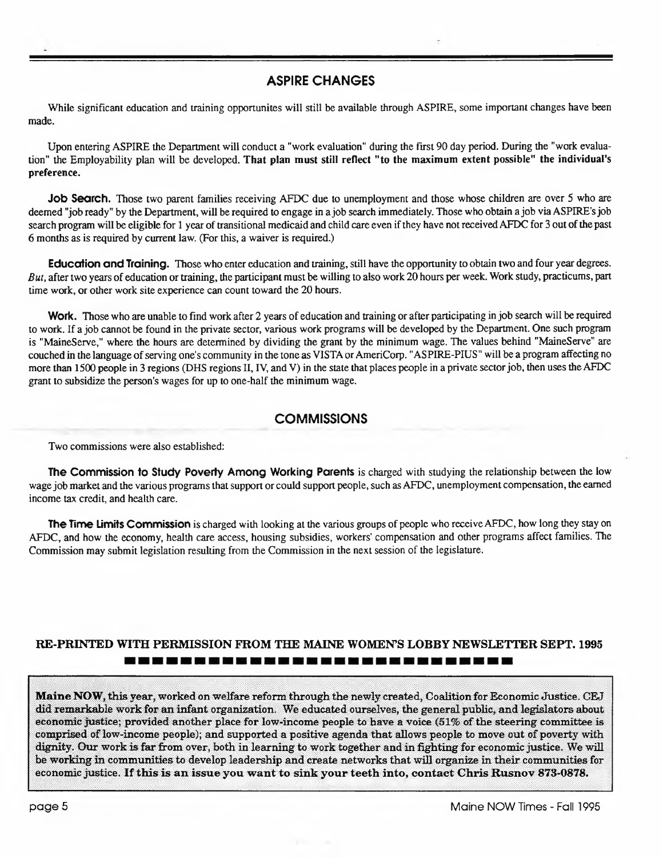#### **ASPIRE CHANGES**

While significant education and training opportunites will still be available through ASPIRE, some important changes have been made.

Upon entering ASPIRE the Department will conduct a "work evaluation" during the first 90 day period. During the "work evaluation" the Employability plan will be developed. **That plan must still reflect "to the maximum extent possible" the individual's preference.**

**Job Search.** Those two parent families receiving AFDC due to unemployment and those whose children are over 5 who are deemed "job ready" by the Department, will be required to engage in a job search immediately. Those who obtain a job via ASPIRE's job search program will be eligible for 1 year of transitional medicaid and child care even if they have not received AFDC for 3 out of the past 6 months as is required by current law. (For this, a waiver is required.)

**Education and Training.** Those who enter education and training, still have the opportunity to obtain two and four year degrees. *But,* after two years of education or training, the participant must be willing to also work 20 hours per week. Work study, practicums, part time work, or other work site experience can count toward the 20 hours.

**Work.** Those who are unable to find work after 2 years of education and training or after participating in job search will be required to work. If a job cannot be found in the private sector, various work programs will be developed by the Department. One such program is "MaineServe," where the hours are determined by dividing the grant by the minimum wage. The values behind "MaineServe" are couched in the language of serving one's community in the tone as VISTA or AmeriCorp. "ASPIRE-PIUS" will be a program affecting no more than 1500 people in 3 regions (DHS regions II, IV, and V) in the state that places people in a private sectorjob, then uses the AFDC grant to subsidize the person's wages for up to one-half the minimum wage.

#### **COMMISSIONS**

Two commissions were also established:

**The Commission to Study Poverty Among Working Parents** is charged with studying the relationship between the low wage job market and the various programs that support or could support people, such as AFDC, unemployment compensation, the earned income tax credit, and health care.

**The Time Limits Commission** is charged with looking at the various groups of people who receiveAFDC, how long they stay on AFDC, and how the economy, health care access, housing subsidies, workers' compensation and other programs affect families. The Commission may submit legislation resulting from the Commission in the next session of the legislature.

#### **RE-PRINTED WITH PERMISSION FROM THE MAINE WOMEN'S LOBBY NEWSLETTER SEPT. 1995** -----------------------------

**Maine NOW,** this year, worked on welfare reform through the newly created, Coalition for Economic Justice. CEJ did remarkable work for an infant organization. We educated ourselves, the general public, and legislators about economic justice; provided another place for low-income people to have a voice (51% of the steering committee is comprised of low-income people); and supported a positive agenda that allows people to move out of poverty with dignity. Our work is far from over, both in learning to work together and in fighting for economic justice. We will be working in communities to develop leadership and create networks that will organize in their communities for economic justice. **If this is an issue you want to sink your teeth into, contact Chris Rusnov 873-0878.**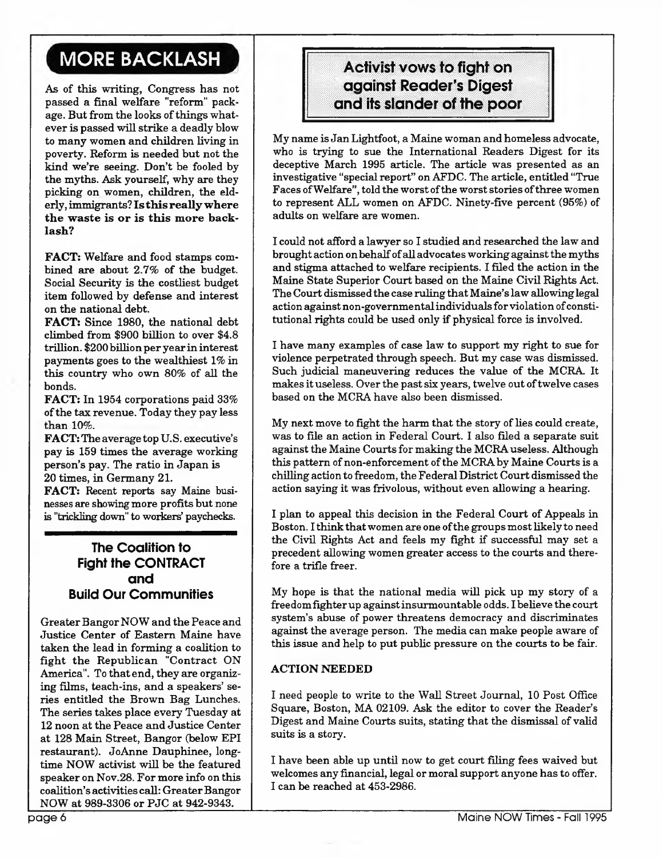## MORE BACKLASH

As of this writing, Congress has not passed a final welfare "reform" package. But from the looks of things whatever is passed willstrike a deadly blow to many women and children living in poverty. Reform is needed but not the kind we're seeing. Don't be fooled by the myths. Ask yourself, why are they picking on women, children, the elderly, immigrants? **Is this reallywhere the waste is or is this more backlash?**

**FACT:** Welfare and food stamps combined are about 2.7% of the budget. Social Security is the costliest budget item followed by defense and interest on the national debt.

**FACT:** Since 1980, the national debt climbed from \$900 billion to over \$4.8 trillion. \$200 billion peryearin interest payments goes to the wealthiest 1% in this country who own 80% of all the bonds.

**FACT:** In 1954 corporations paid 33% ofthe tax revenue. Today they pay less than 10%.

**FACT:** The average top U.S. executive's pay is 159 times the average working person's pay. The ratio in Japan is 20 times, in Germany 21.

**FACT:** Recent reports say Maine businesses are showing more profits but none is "trickling down" to workers' paychecks.

#### **The Coalition to Fight the CONTRACT and Build Our Communities**

GreaterBangorNOW and the Peace and Justice Center of Eastern Maine have taken the lead in forming a coalition to fight the Republican "Contract ON America". To that end, they are organizing films, teach-ins, and a speakers' series entitled the Brown Bag Lunches. The series takes place every Tuesday at 12 noon at the Peace and Justice Center at 128 Main Street, Bangor (below EPI restaurant). JoAnne Dauphinee, longtime NOW activist will be the featured speaker on Nov.28. For more info on this coalition's activities call: Greater Bangor NOW at 989-3306 or PJC at 942-9343.

#### Activist vows to fight on against Reader's Digest and its slander of the poor

My name isJan Lightfoot, a Maine woman and homeless advocate, who is trying to sue the International Readers Digest for its deceptive March 1995 article. The article was presented as an investigative "special report" on AFDC. The article, entitled "True Faces of Welfare", told the worst of the worst stories of three women to represent ALL women on AFDC. Ninety-five percent (95%) of adults on welfare are women.

I could not afford a lawyer so I studied and researched the law and brought action onbehalfofall advocates workingagainstthe myths and stigma attached to welfare recipients. I filed the action in the Maine State Superior Court based on the Maine Civil Rights Act. The Court dismissed the case ruling that Maine's law allowing legal action against non-governmental individuals for violation of constitutional rights could be used only if physical force is involved.

I have many examples of case law to support my right to sue for violence perpetrated through speech. But my case was dismissed. Such judicial maneuvering reduces the value of the MCRA It makes it useless. Over the past six years, twelve out of twelve cases based on the MCRA have also been dismissed.

My next move to fight the harm that the story of lies could create, was to file an action in Federal Court. I also filed a separate suit against the Maine Courtsfor making the MCRAuseless. Although this pattern of non-enforcement of the MCRA by Maine Courts is a chilling action to freedom, the FederalDistrict Court dismissed the action saying it was frivolous, without even allowing a hearing.

I plan to appeal this decision in the Federal Court of Appeals in Boston. I think that women are one of the groups most likely to need the Civil Rights Act and feels my fight if successful may set a precedent allowing women greater access to the courts and therefore a trifle freer.

My hope is that the national media will pick up my story of a freedomfighterup againstinsurmountable odds. I believe the court system's abuse of power threatens democracy and discriminates against the average person. The media can make people aware of this issue and help to put public pressure on the courts to be fair.

#### **ACTION NEEDED**

I need people to write to the Wall Street Journal, 10 Post Office Square, Boston, MA 02109. Ask the editor to cover the Reader's Digest and Maine Courts suits, stating that the dismissal of valid suits is a story.

I have been able up until now to get court filing fees waived but welcomes any financial, legal or moral support anyone has to offer. I can be reached at 453-2986.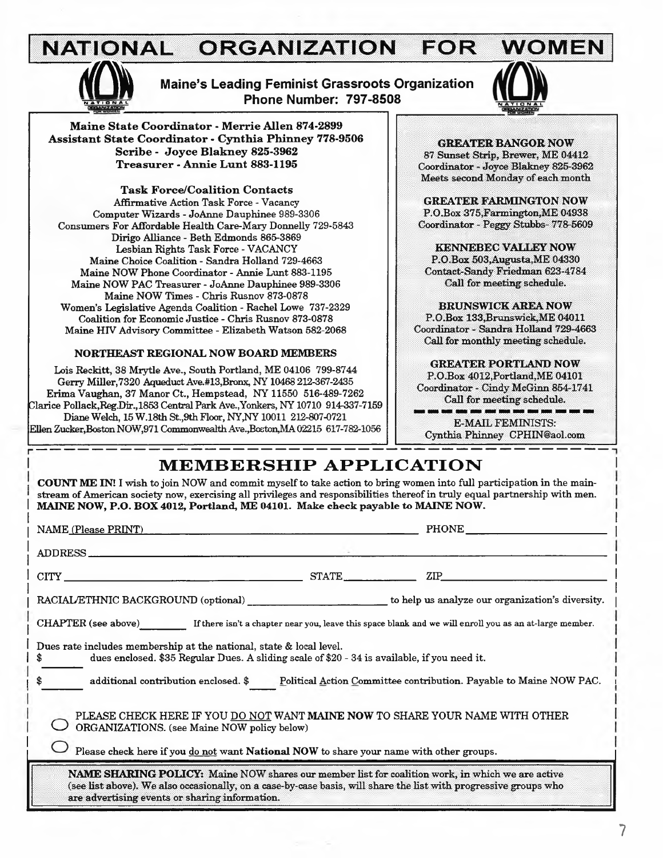#### **NATIONAL ORGANIZATION FOR WOMEN** n**NATIONAL**



**Maine's Leading Feminist Grassroots Organization Phone Number: 797-8508** 



**Maine State Coordinator - Merrie Allen 874-2899 Assistant State Coordinator - Cynthia Phinney 778-9506 Scribe - Joyce Blakney 825-3962 Treasurer - Annie Lunt 883-1195**

**Task Force/Coalition Contacts** Affirmative Action Task Force - Vacancy Computer Wizards - JoAnne Dauphinee 989-3306 Consumers For Affordable Health Care-Mary Donnelly 729-5843 Dirigo Alliance - Beth Edmonds 865-3869 Lesbian Rights Task Force - VACANCY Maine Choice Coalition - Sandra Holland 729-4663 Maine NOW Phone Coordinator - Annie Lunt 883-1195 Maine NOW PAC Treasurer - JoAnne Dauphinee 989-3306 Maine NOW Times - Chris Rusnov 873-0878 Women's Legislative Agenda Coalition - Rachel Lowe 737-2329 Coalition for Economic Justice - Chris Rusnov 873-0878 Maine HTV Advisory Committee - Elizabeth Watson 582-2068

#### **NORTHEAST REGIONAL NOW BOARD MEMBERS**

Lois Reckitt, 38 Mrytle Ave., South Portland, ME 04106 799-8744 Gerry Miller,7320 Aqueduct Ave.#13,Bronx, NY 10468 212-367-2435 Erima Vaughan, 37 Manor Ct., Hempstead, NY 11550 516-489-7262 Clarice Pollack,Reg.Dir.,1853 Central Park Ave.,Yonkers, NY 10710 914-337-7159 Diane Welch, 15 W.18th St.,9th Floor, NY,NY 10011 212-807-0721 Ellen Zucker,Boston NOW,971 CommonwealthAve.,Boston,MA 02215 617-782-1056

**GREATER BANGOR NOW** 87 Sunset Strip, Brewer, ME 04412 Coordinator - Joyce Blakney 825-3962 Meets second Monday of each month

**GREATER FARMINGTON NOW** P.O.Box 375,Farmington,ME 04938 Coordinator - Peggy Stubbs- 778-5609

**KENNEBEC VALLEY NOW** P.O.Box 503,Augusta,ME 04330 Contact-Sandy Friedman 623-4784 Call for meeting schedule.

**BRUNSWICK AREA NOW** P.O.Box 133,Brunswick,ME 04011 Coordinator - Sandra Holland 729-4663

Call for monthly meeting schedule.

**GREATER PORTLAND NOW** P.O.Box 4012,Portland,ME 04101 Coordinator - Cindy McGinn 854-1741 Call for meeting schedule.

and the company's company's company's company's company's E-MAIL FEMINISTS: Cynthia Phinney [CPHIN@aol.com](mailto:CPHIN@aol.com)

### **MEMBERSHIP APPLICATION**

**. COUNT ME IN!** I wish to join NOW and commit myselfto take action to bring women into full participation in the main stream of American society now, exercising all privileges and responsibilities thereof in truly equal partnership with men. <sup>I</sup> **MAINE NOW, P.O. BOX 4012, Portland, ME 04101. Make check payable to MAINE NOW.**

| NAME (Please PRINT)                                                                                                                                                                                                                                                           |  | <b>PHONE</b>                                                                                                   |
|-------------------------------------------------------------------------------------------------------------------------------------------------------------------------------------------------------------------------------------------------------------------------------|--|----------------------------------------------------------------------------------------------------------------|
| ADDRESS                                                                                                                                                                                                                                                                       |  |                                                                                                                |
| $CITY$ $STATE$ $STATE$                                                                                                                                                                                                                                                        |  | ZIP and the set of the set of the set of the set of the set of the set of the set of the set of the set of the |
|                                                                                                                                                                                                                                                                               |  |                                                                                                                |
| CHAPTER (see above) If there isn't a chapter near you, leave this space blank and we will enroll you as an at-large member.                                                                                                                                                   |  |                                                                                                                |
| Dues rate includes membership at the national, state & local level.<br>dues enclosed. \$35 Regular Dues. A sliding scale of \$20 - 34 is available, if you need it.<br>\$                                                                                                     |  |                                                                                                                |
| additional contribution enclosed. \$<br>Political Action Committee contribution. Payable to Maine NOW PAC.<br>\$                                                                                                                                                              |  |                                                                                                                |
| PLEASE CHECK HERE IF YOU DO NOT WANT MAINE NOW TO SHARE YOUR NAME WITH OTHER<br>ORGANIZATIONS. (see Maine NOW policy below)                                                                                                                                                   |  |                                                                                                                |
| Please check here if you do not want National NOW to share your name with other groups.                                                                                                                                                                                       |  |                                                                                                                |
| <b>NAME SHARING POLICY:</b> Maine NOW shares our member list for coalition work, in which we are active<br>(see list above). We also occasionally, on a case-by-case basis, will share the list with progressive groups who<br>are advertising events or sharing information. |  |                                                                                                                |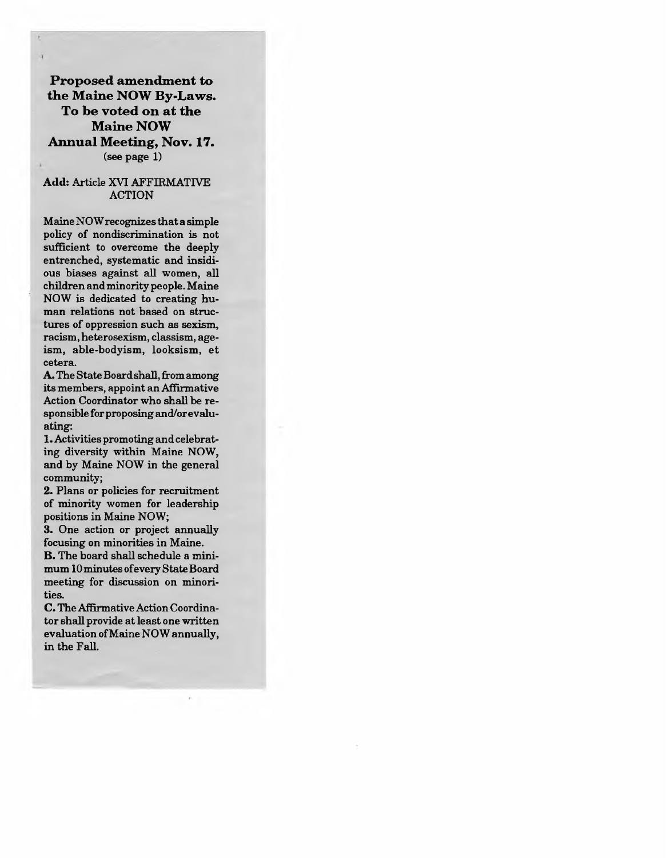**Proposed amendment to the Maine NOW By-Laws. To be voted on at the Maine NOW Annual Meeting, Nov. 17.** (see page 1)

#### **Add:** Article XVI AFFIRMATIVE ACTION

MaineNOWrecognizesthata simple policy of nondiscrimination is not sufficient to overcome the deeply entrenched, systematic and insidious biases against all women, all children andminority people.Maine NOW is dedicated to creating human relations not based on structures of oppression such as sexism, racism, heterosexism, classism, ageism, able-bodyism, looksism, et cetera.

A. The State Board shall, from a mong itsmembers, appoint anAffirmative Action Coordinator who shall be responsible forproposing and/orevaluating:

1.Activities promoting and celebrating diversity within Maine NOW, and by Maine NOW in the general community;

2. Plans or policies for recruitment of minority women for leadership positions in Maine NOW;

3. One action or project annually focusing on minorities in Maine.

**B.** The board shall schedule a minimum 10minutes ofevery StateBoard meeting for discussion on minorities.

**C.** The Affirmative Action Coordinator shall provide at least one written evaluation ofMaine NOW annually, in the Fall.